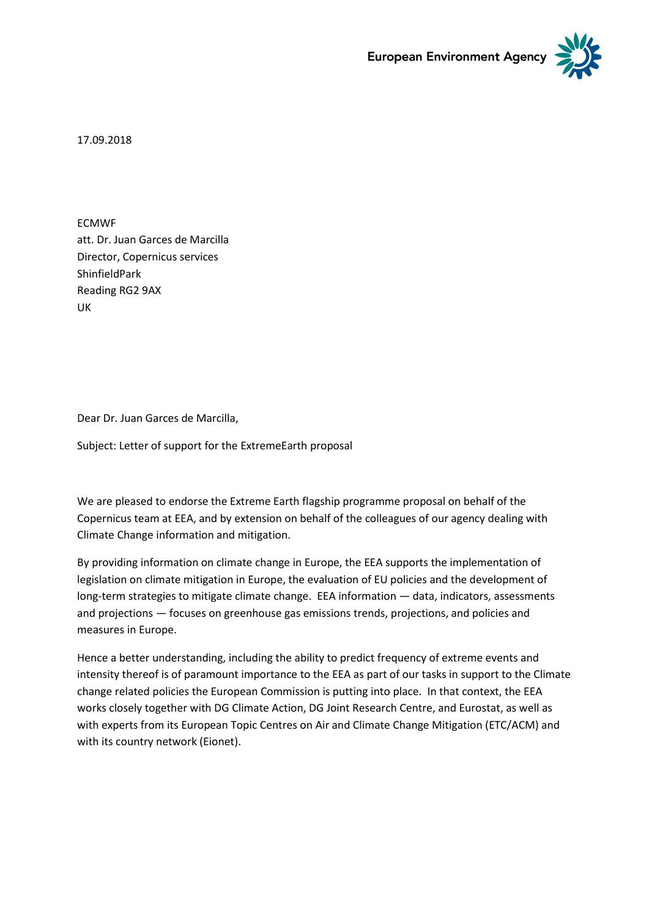



17.09.2018

ECMWF att. Dr. Juan Garces de Marcilla Director, Copernicus services ShinfieldPark Reading RG2 9AX UK

Dear Dr. Juan Garces de Marcilla,

Subject: Letter of support for the ExtremeEarth proposal

We are pleased to endorse the Extreme Earth flagship programme proposal on behalf of the Copernicus team at EEA, and by extension on behalf of the colleagues of our agency dealing with Climate Change information and mitigation.

By providing information on climate change in Europe, the EEA supports the implementation of legislation on climate mitigation in Europe, the evaluation of EU policies and the development of long-term strategies to mitigate climate change. EEA information — data, indicators, assessments and projections — focuses on greenhouse gas emissions trends, projections, and policies and measures in Europe.

Hence a better understanding, including the ability to predict frequency of extreme events and intensity thereof is of paramount importance to the EEA as part of our tasks in support to the Climate change related policies the European Commission is putting into place. In that context, the EEA works closely together with DG Climate Action, DG Joint Research Centre, and Eurostat, as well as with experts from its European Topic Centres on Air and Climate Change Mitigation (ETC/ACM) and with its country network (Eionet).